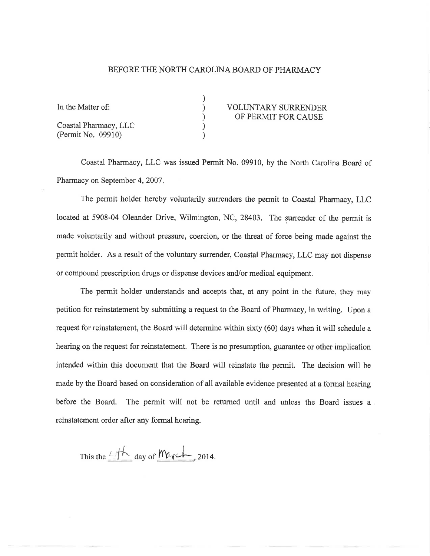## BEFORE THE NORTH CAROLINA BOARD OF PHARMACY

) ) ) ) )

| In the Matter of:     | <b>VOLUNTARY SURRENDER</b> |
|-----------------------|----------------------------|
|                       | OF PERMIT FOR CAUSE        |
| Coastal Pharmacy, LLC |                            |
| (Permit No. 09910)    |                            |

## OF PERMIT FOR CAUSE

Coastal Pharmacy, LLC was issued Permit No. 09910, by the North Carolina Board of Pharmacy on September 4, 2007.

The permit holder hereby voluntarily surrenders the permit to Coastal Pharmacy, LLC located at 5908-04 Oleander Drive, Wilmington, NC, 28403. The surrender of the permit is made vohurtarily and without pressure, coercion, or the threat of force being made against the permit holder. As a result of the voluntary surrender, Coastal Pharmacy, LLC may not dispense or compound prescription drugs or dispense devices and/or medical equipment.

The permit holder understands and acoepts that, at any point in the future, they may petition for reinstatement by submitting a request to the Board of Pharmacy, in writing. Upon a request for reinstatement, the Board will determine within sixty (60) days when it will schedule <sup>a</sup> hearing on the request for reinstatement. There is no presumption, guarantee or other implication intended within this document that the Board will reinstate the permit. The decision will be made by the Board based on consideration of all available evidence presented at a formal hearing before the Board. The permit will not be returned until and unless the Board issues <sup>a</sup> reinstatement order after any formal hearing.

This the  $4/fh$  day of March, 2014.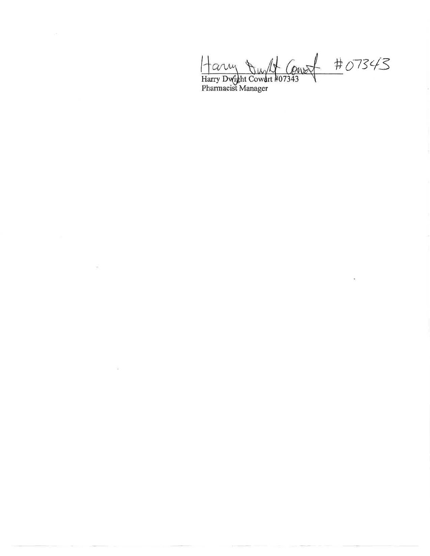Harry Dwight Court #07343<br>Harry Dwight Cowart #07343

 $\bar{\chi}$ 

à.

 $\sim$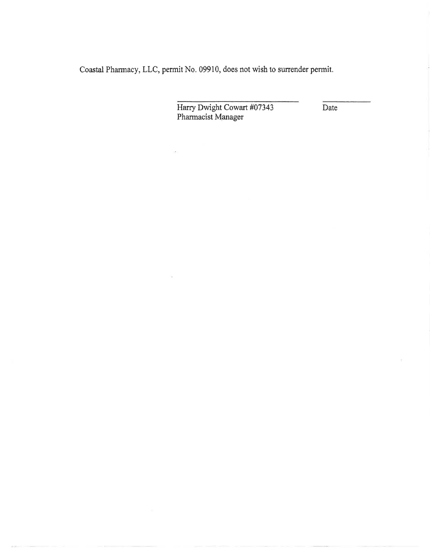Coastal Pharmacy, LLC, permit No. 09910, does not wish to surrender permit.

Harry Dwight Cowart #07343 Pharmacist Manager

Date